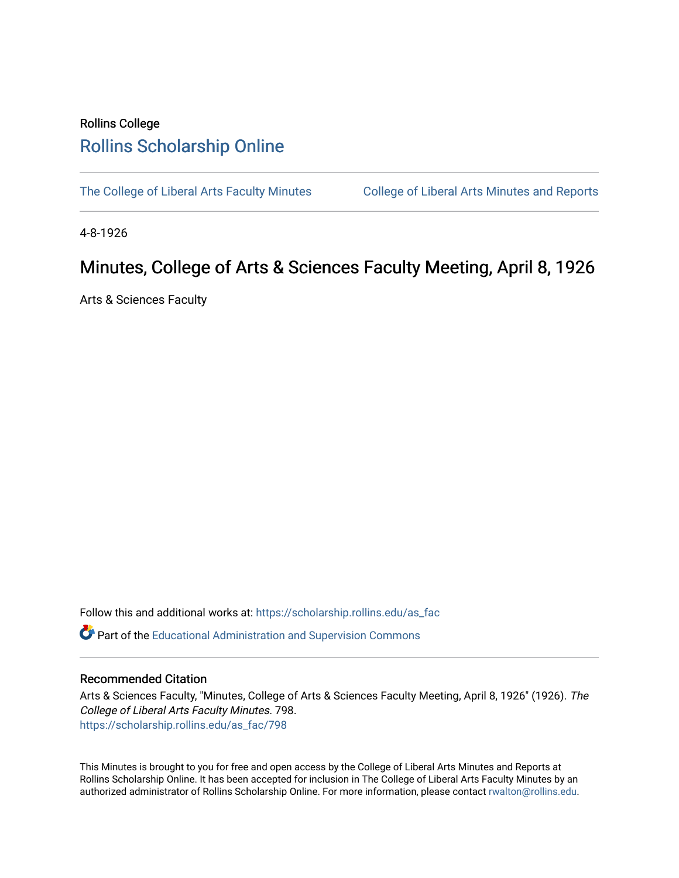# Rollins College [Rollins Scholarship Online](https://scholarship.rollins.edu/)

[The College of Liberal Arts Faculty Minutes](https://scholarship.rollins.edu/as_fac) College of Liberal Arts Minutes and Reports

4-8-1926

## Minutes, College of Arts & Sciences Faculty Meeting, April 8, 1926

Arts & Sciences Faculty

Follow this and additional works at: [https://scholarship.rollins.edu/as\\_fac](https://scholarship.rollins.edu/as_fac?utm_source=scholarship.rollins.edu%2Fas_fac%2F798&utm_medium=PDF&utm_campaign=PDFCoverPages) 

**P** Part of the [Educational Administration and Supervision Commons](http://network.bepress.com/hgg/discipline/787?utm_source=scholarship.rollins.edu%2Fas_fac%2F798&utm_medium=PDF&utm_campaign=PDFCoverPages)

### Recommended Citation

Arts & Sciences Faculty, "Minutes, College of Arts & Sciences Faculty Meeting, April 8, 1926" (1926). The College of Liberal Arts Faculty Minutes. 798. [https://scholarship.rollins.edu/as\\_fac/798](https://scholarship.rollins.edu/as_fac/798?utm_source=scholarship.rollins.edu%2Fas_fac%2F798&utm_medium=PDF&utm_campaign=PDFCoverPages) 

This Minutes is brought to you for free and open access by the College of Liberal Arts Minutes and Reports at Rollins Scholarship Online. It has been accepted for inclusion in The College of Liberal Arts Faculty Minutes by an authorized administrator of Rollins Scholarship Online. For more information, please contact [rwalton@rollins.edu](mailto:rwalton@rollins.edu).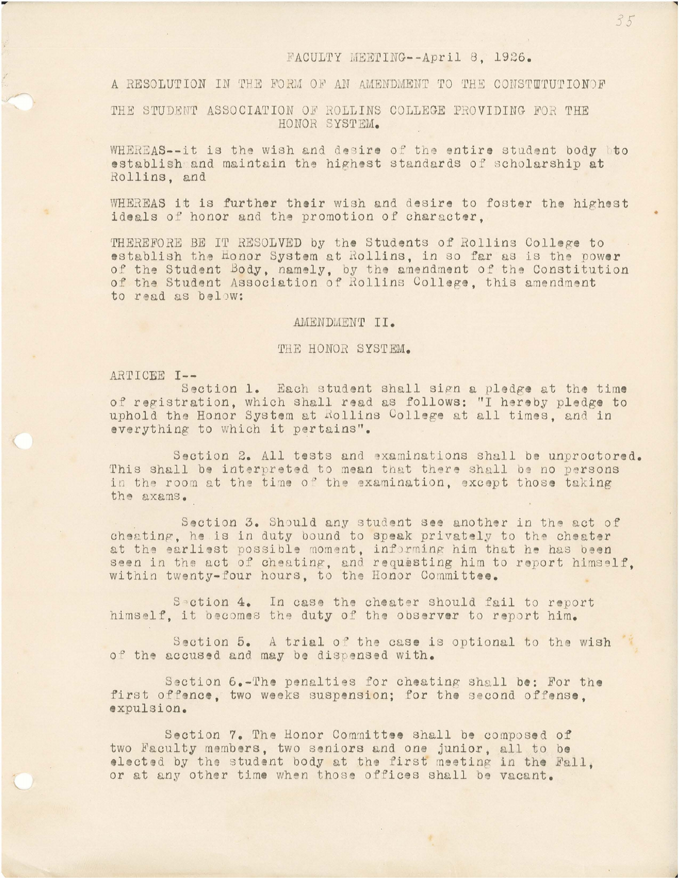#### FACULTY MEETING -- April 8, 1926.

A RESOLUTION IN THE FORM OF AN AMENDMENT TO THE CONSTUTUTIONOF

THE STUDENT ASSOCIATION OF ROLLINS COLLEGE PROVIDING FOR THE HONOR SYSTEM.

WHEREAS--it is the wish and desire of the entire student body bto establish and maintain the highest standards of scholarship at Rollins, and

WHEREAS it is further their wish and desire to foster the highest ideals of honor and the promotion of character.

THEREFORE BE IT RESOLVED by the Students of Rollins College to establish the Honor System at Rollins, in so far as is the power of the Student Body, namely, by the amendment of the Constitution of the Student Association of Rollins College, this amendment to read as below:

#### AMENDMENT II.

### THE HONOR SYSTEM.

ARTICEE I --

Section 1. Each student shall sign a pledge at the time of registration, which shall read as follows: "I hereby pledge to uphold the Honor System at Rollins College at all times, and in everything to which it pertains".

Section 2. All tests and examinations shall be unproctored. This shall be interpreted to mean that there shall be no persons in the room at the time of the examination, except those taking the axams.

Section 3. Should any student see another in the act of cheating, he is in duty bound to speak privately to the cheater at the earliest possible moment, informing him that he has been seen in the act of cheating, and requesting him to report himself. within twenty-four hours, to the Honor Committee.

Section 4. In case the cheater should fail to report himself, it becomes the duty of the observer to report him.

Section 5. A trial of the case is optional to the wish of the accused and may be dispensed with.

Section 6.-The penalties for cheating shall be: For the first offence, two weeks suspension; for the second offense. expulsion.

Section 7. The Honor Committee shall be composed of two Faculty members, two seniors and one junior, all to be elected by the student body at the first meeting in the Fall, or at any other time when those offices shall be vacant.